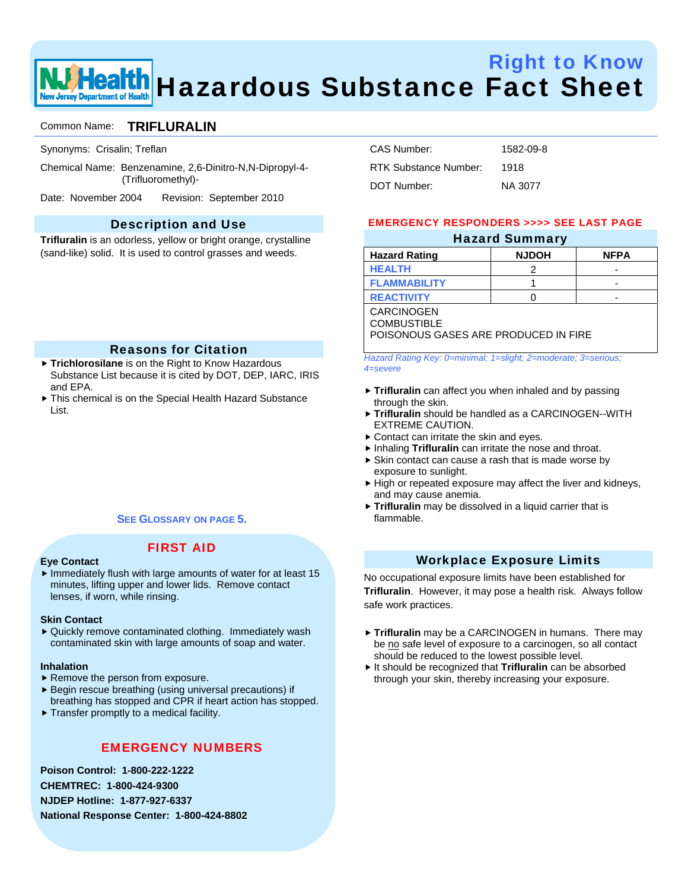# Right to Know Health Hazardous Substance Fact Sheet w Jersey Department of Health

## Common Name: **TRIFLURALIN**

Synonyms: Crisalin; Treflan

Chemical Name: Benzenamine, 2,6-Dinitro-N,N-Dipropyl-4- (Trifluoromethyl)-

Date: November 2004 Revision: September 2010

## Description and Use

**Trifluralin** is an odorless, yellow or bright orange, crystalline (sand-like) solid. It is used to control grasses and weeds.

### Reasons for Citation

- **Fichlorosilane** is on the Right to Know Hazardous Substance List because it is cited by DOT, DEP, IARC, IRIS and EPA.
- $\triangleright$  This chemical is on the Special Health Hazard Substance List.

### **SEE GLOSSARY ON PAGE 5.**

## FIRST AID

#### **Eye Contact**

 $\blacktriangleright$  Immediately flush with large amounts of water for at least 15 minutes, lifting upper and lower lids. Remove contact lenses, if worn, while rinsing.

#### **Skin Contact**

▶ Quickly remove contaminated clothing. Immediately wash contaminated skin with large amounts of soap and water.

#### **Inhalation**

- $\blacktriangleright$  Remove the person from exposure.
- $\blacktriangleright$  Begin rescue breathing (using universal precautions) if breathing has stopped and CPR if heart action has stopped.
- $\blacktriangleright$  Transfer promptly to a medical facility.

# EMERGENCY NUMBERS

**Poison Control: 1-800-222-1222 CHEMTREC: 1-800-424-9300 NJDEP Hotline: 1-877-927-6337 National Response Center: 1-800-424-8802** 

| CAS Number:           | 1582-09-8 |
|-----------------------|-----------|
| RTK Substance Number: | 1918      |
| DOT Number:           | NA 3077   |

### EMERGENCY RESPONDERS >>>> SEE LAST PAGE Hazard Summary

| ----------------     |              |             |
|----------------------|--------------|-------------|
| <b>Hazard Rating</b> | <b>NJDOH</b> | <b>NFPA</b> |
| <b>HEALTH</b>        |              |             |
| <b>FLAMMABILITY</b>  |              |             |
| <b>REACTIVITY</b>    |              |             |
| <b>CARCINOGEN</b>    |              |             |
| <b>COMBUSTIBLE</b>   |              |             |

POISONOUS GASES ARE PRODUCED IN FIRE

*Hazard Rating Key: 0=minimal; 1=slight; 2=moderate; 3=serious; 4=severe*

- **Fifluralin** can affect you when inhaled and by passing through the skin.
- **Frifluralin** should be handled as a CARCINOGEN--WITH EXTREME CAUTION.
- $\blacktriangleright$  Contact can irritate the skin and eyes.
- **F** Inhaling **Trifluralin** can irritate the nose and throat.
- $\triangleright$  Skin contact can cause a rash that is made worse by exposure to sunlight.
- $\blacktriangleright$  High or repeated exposure may affect the liver and kidneys, and may cause anemia.
- **Frifluralin** may be dissolved in a liquid carrier that is flammable.

# Workplace Exposure Limits

No occupational exposure limits have been established for **Trifluralin**. However, it may pose a health risk. Always follow safe work practices.

- **Fifluralin** may be a CARCINOGEN in humans. There may be no safe level of exposure to a carcinogen, so all contact should be reduced to the lowest possible level.
- It should be recognized that **Trifluralin** can be absorbed through your skin, thereby increasing your exposure.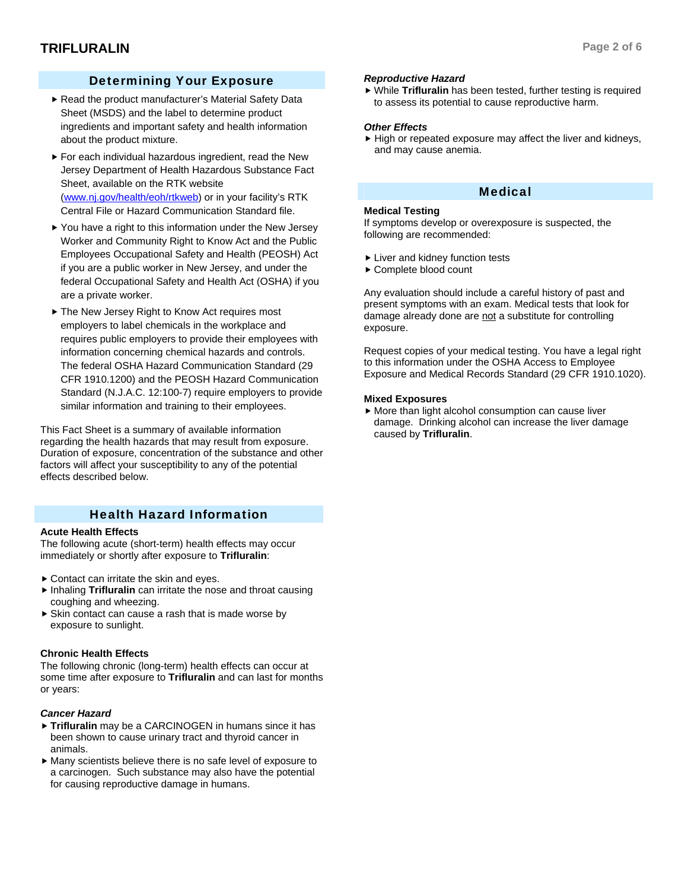# Determining Your Exposure

- Read the product manufacturer's Material Safety Data Sheet (MSDS) and the label to determine product ingredients and important safety and health information about the product mixture.
- $\blacktriangleright$  For each individual hazardous ingredient, read the New Jersey Department of Health Hazardous Substance Fact Sheet, available on the RTK website (www.nj.gov/health/eoh/rtkweb) or in your facility's RTK Central File or Hazard Communication Standard file.
- $\blacktriangleright$  You have a right to this information under the New Jersey Worker and Community Right to Know Act and the Public Employees Occupational Safety and Health (PEOSH) Act if you are a public worker in New Jersey, and under the federal Occupational Safety and Health Act (OSHA) if you are a private worker.
- ▶ The New Jersey Right to Know Act requires most employers to label chemicals in the workplace and requires public employers to provide their employees with information concerning chemical hazards and controls. The federal OSHA Hazard Communication Standard (29 CFR 1910.1200) and the PEOSH Hazard Communication Standard (N.J.A.C. 12:100-7) require employers to provide similar information and training to their employees.

This Fact Sheet is a summary of available information regarding the health hazards that may result from exposure. Duration of exposure, concentration of the substance and other factors will affect your susceptibility to any of the potential effects described below.

# Health Hazard Information

#### **Acute Health Effects**

The following acute (short-term) health effects may occur immediately or shortly after exposure to **Trifluralin**:

- $\triangleright$  Contact can irritate the skin and eves.
- **F** Inhaling **Trifluralin** can irritate the nose and throat causing coughing and wheezing.
- $\triangleright$  Skin contact can cause a rash that is made worse by exposure to sunlight.

#### **Chronic Health Effects**

The following chronic (long-term) health effects can occur at some time after exposure to **Trifluralin** and can last for months or years:

#### *Cancer Hazard*

- **Fifluralin** may be a CARCINOGEN in humans since it has been shown to cause urinary tract and thyroid cancer in animals.
- $\blacktriangleright$  Many scientists believe there is no safe level of exposure to a carcinogen. Such substance may also have the potential for causing reproductive damage in humans.

#### *Reproductive Hazard*

▶ While **Trifluralin** has been tested, further testing is required to assess its potential to cause reproductive harm.

#### *Other Effects*

 $\blacktriangleright$  High or repeated exposure may affect the liver and kidneys, and may cause anemia.

# Medical

#### **Medical Testing**

If symptoms develop or overexposure is suspected, the following are recommended:

- $\blacktriangleright$  Liver and kidney function tests
- ▶ Complete blood count

Any evaluation should include a careful history of past and present symptoms with an exam. Medical tests that look for damage already done are not a substitute for controlling exposure.

Request copies of your medical testing. You have a legal right to this information under the OSHA Access to Employee Exposure and Medical Records Standard (29 CFR 1910.1020).

#### **Mixed Exposures**

 $\blacktriangleright$  More than light alcohol consumption can cause liver damage. Drinking alcohol can increase the liver damage caused by **Trifluralin**.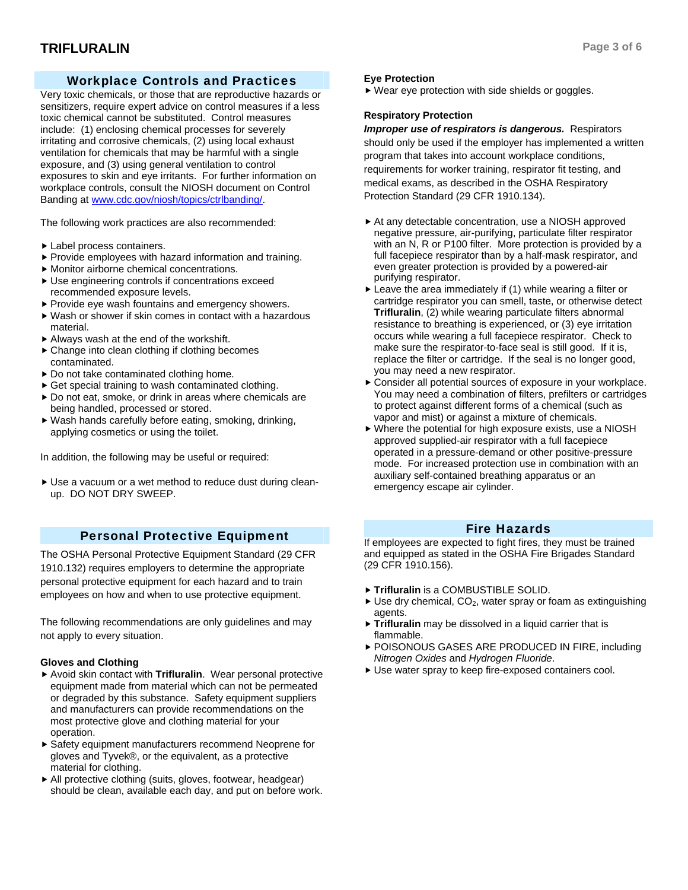# Workplace Controls and Practices

Very toxic chemicals, or those that are reproductive hazards or sensitizers, require expert advice on control measures if a less toxic chemical cannot be substituted. Control measures include: (1) enclosing chemical processes for severely irritating and corrosive chemicals, (2) using local exhaust ventilation for chemicals that may be harmful with a single exposure, and (3) using general ventilation to control exposures to skin and eye irritants. For further information on workplace controls, consult the NIOSH document on Control Banding at www.cdc.gov/niosh/topics/ctrlbanding/.

The following work practices are also recommended:

- $\blacktriangleright$  Label process containers.
- $\blacktriangleright$  Provide employees with hazard information and training.
- $\blacktriangleright$  Monitor airborne chemical concentrations.
- $\blacktriangleright$  Use engineering controls if concentrations exceed recommended exposure levels.
- $\blacktriangleright$  Provide eye wash fountains and emergency showers.
- $\blacktriangleright$  Wash or shower if skin comes in contact with a hazardous material.
- $\blacktriangleright$  Always wash at the end of the workshift.
- $\triangleright$  Change into clean clothing if clothing becomes contaminated.
- $\triangleright$  Do not take contaminated clothing home.
- $\triangleright$  Get special training to wash contaminated clothing.
- $\triangleright$  Do not eat, smoke, or drink in areas where chemicals are being handled, processed or stored.
- $\blacktriangleright$  Wash hands carefully before eating, smoking, drinking, applying cosmetics or using the toilet.

In addition, the following may be useful or required:

Use a vacuum or a wet method to reduce dust during cleanup. DO NOT DRY SWEEP.

### Personal Protective Equipment

The OSHA Personal Protective Equipment Standard (29 CFR 1910.132) requires employers to determine the appropriate personal protective equipment for each hazard and to train employees on how and when to use protective equipment.

The following recommendations are only guidelines and may not apply to every situation.

#### **Gloves and Clothing**

- ▶ Avoid skin contact with Trifluralin. Wear personal protective equipment made from material which can not be permeated or degraded by this substance. Safety equipment suppliers and manufacturers can provide recommendations on the most protective glove and clothing material for your operation.
- $\triangleright$  Safety equipment manufacturers recommend Neoprene for gloves and Tyvek®, or the equivalent, as a protective material for clothing.
- $\blacktriangleright$  All protective clothing (suits, gloves, footwear, headgear) should be clean, available each day, and put on before work.

#### **Eye Protection**

 $\blacktriangleright$  Wear eye protection with side shields or goggles.

#### **Respiratory Protection**

### *Improper use of respirators is dangerous.* Respirators should only be used if the employer has implemented a written program that takes into account workplace conditions, requirements for worker training, respirator fit testing, and medical exams, as described in the OSHA Respiratory Protection Standard (29 CFR 1910.134).

- $\triangleright$  At any detectable concentration, use a NIOSH approved negative pressure, air-purifying, particulate filter respirator with an N, R or P100 filter. More protection is provided by a full facepiece respirator than by a half-mask respirator, and even greater protection is provided by a powered-air purifying respirator.
- $\blacktriangleright$  Leave the area immediately if (1) while wearing a filter or cartridge respirator you can smell, taste, or otherwise detect **Trifluralin**, (2) while wearing particulate filters abnormal resistance to breathing is experienced, or (3) eye irritation occurs while wearing a full facepiece respirator. Check to make sure the respirator-to-face seal is still good. If it is, replace the filter or cartridge. If the seal is no longer good, you may need a new respirator.
- $\triangleright$  Consider all potential sources of exposure in your workplace. You may need a combination of filters, prefilters or cartridges to protect against different forms of a chemical (such as vapor and mist) or against a mixture of chemicals.
- $\blacktriangleright$  Where the potential for high exposure exists, use a NIOSH approved supplied-air respirator with a full facepiece operated in a pressure-demand or other positive-pressure mode. For increased protection use in combination with an auxiliary self-contained breathing apparatus or an emergency escape air cylinder.

## Fire Hazards

If employees are expected to fight fires, they must be trained and equipped as stated in the OSHA Fire Brigades Standard (29 CFR 1910.156).

- **Fifluralin** is a COMBUSTIBLE SOLID.
- $\triangleright$  Use dry chemical, CO<sub>2</sub>, water spray or foam as extinguishing agents.
- ▶ Trifluralin may be dissolved in a liquid carrier that is flammable.
- **POISONOUS GASES ARE PRODUCED IN FIRE, including** *Nitrogen Oxides* and *Hydrogen Fluoride*.
- $\blacktriangleright$  Use water spray to keep fire-exposed containers cool.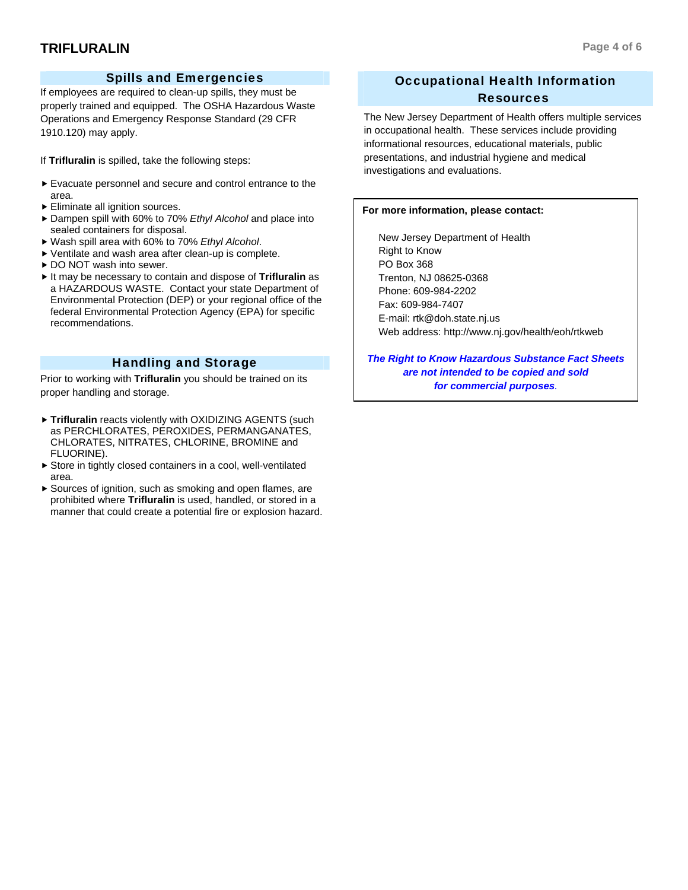# Spills and Emergencies

If employees are required to clean-up spills, they must be properly trained and equipped. The OSHA Hazardous Waste Operations and Emergency Response Standard (29 CFR 1910.120) may apply.

If **Trifluralin** is spilled, take the following steps:

- $\blacktriangleright$  Evacuate personnel and secure and control entrance to the area.
- $\blacktriangleright$  Eliminate all ignition sources.
- ▶ Dampen spill with 60% to 70% *Ethyl Alcohol* and place into sealed containers for disposal.
- f Wash spill area with 60% to 70% *Ethyl Alcohol*.
- $\blacktriangleright$  Ventilate and wash area after clean-up is complete.
- ▶ DO NOT wash into sewer.
- $\blacktriangleright$  It may be necessary to contain and dispose of **Trifluralin** as a HAZARDOUS WASTE. Contact your state Department of Environmental Protection (DEP) or your regional office of the federal Environmental Protection Agency (EPA) for specific recommendations.

## Handling and Storage

Prior to working with **Trifluralin** you should be trained on its proper handling and storage.

- **Frifluralin** reacts violently with OXIDIZING AGENTS (such as PERCHLORATES, PEROXIDES, PERMANGANATES, CHLORATES, NITRATES, CHLORINE, BROMINE and FLUORINE).
- ▶ Store in tightly closed containers in a cool, well-ventilated area.
- $\blacktriangleright$  Sources of ignition, such as smoking and open flames, are prohibited where **Trifluralin** is used, handled, or stored in a manner that could create a potential fire or explosion hazard.

# Occupational Health Information **Resources**

The New Jersey Department of Health offers multiple services in occupational health. These services include providing informational resources, educational materials, public presentations, and industrial hygiene and medical investigations and evaluations.

#### **For more information, please contact:**

 New Jersey Department of Health Right to Know PO Box 368 Trenton, NJ 08625-0368 Phone: 609-984-2202 Fax: 609-984-7407 E-mail: rtk@doh.state.nj.us Web address: http://www.nj.gov/health/eoh/rtkweb

*The Right to Know Hazardous Substance Fact Sheets are not intended to be copied and sold for commercial purposes.*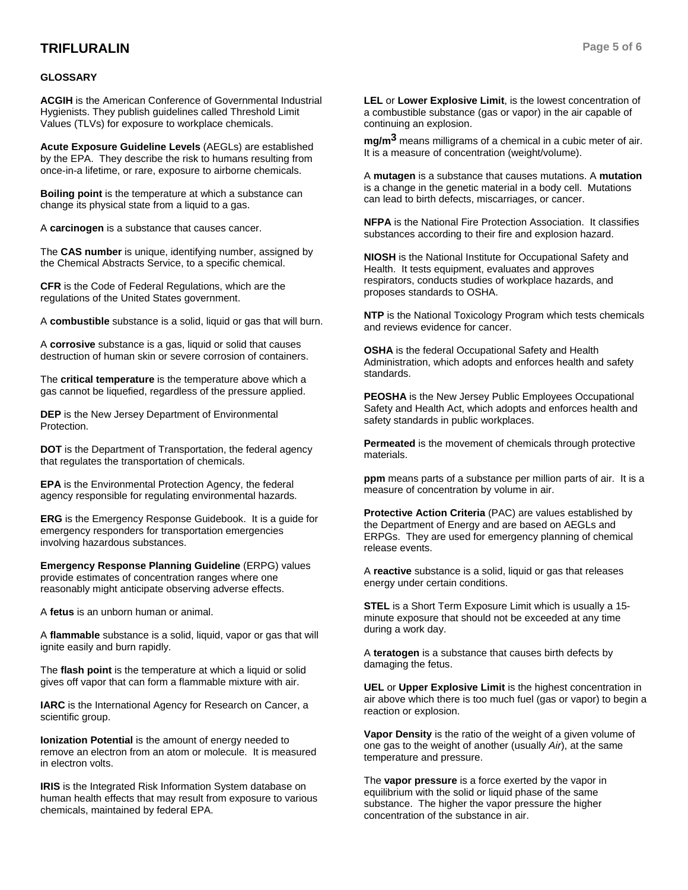# **TRIFLURALIN Page 5 of 6**

#### **GLOSSARY**

**ACGIH** is the American Conference of Governmental Industrial Hygienists. They publish guidelines called Threshold Limit Values (TLVs) for exposure to workplace chemicals.

**Acute Exposure Guideline Levels** (AEGLs) are established by the EPA. They describe the risk to humans resulting from once-in-a lifetime, or rare, exposure to airborne chemicals.

**Boiling point** is the temperature at which a substance can change its physical state from a liquid to a gas.

A **carcinogen** is a substance that causes cancer.

The **CAS number** is unique, identifying number, assigned by the Chemical Abstracts Service, to a specific chemical.

**CFR** is the Code of Federal Regulations, which are the regulations of the United States government.

A **combustible** substance is a solid, liquid or gas that will burn.

A **corrosive** substance is a gas, liquid or solid that causes destruction of human skin or severe corrosion of containers.

The **critical temperature** is the temperature above which a gas cannot be liquefied, regardless of the pressure applied.

**DEP** is the New Jersey Department of Environmental Protection.

**DOT** is the Department of Transportation, the federal agency that regulates the transportation of chemicals.

**EPA** is the Environmental Protection Agency, the federal agency responsible for regulating environmental hazards.

**ERG** is the Emergency Response Guidebook. It is a guide for emergency responders for transportation emergencies involving hazardous substances.

**Emergency Response Planning Guideline** (ERPG) values provide estimates of concentration ranges where one reasonably might anticipate observing adverse effects.

A **fetus** is an unborn human or animal.

A **flammable** substance is a solid, liquid, vapor or gas that will ignite easily and burn rapidly.

The **flash point** is the temperature at which a liquid or solid gives off vapor that can form a flammable mixture with air.

**IARC** is the International Agency for Research on Cancer, a scientific group.

**Ionization Potential** is the amount of energy needed to remove an electron from an atom or molecule. It is measured in electron volts.

**IRIS** is the Integrated Risk Information System database on human health effects that may result from exposure to various chemicals, maintained by federal EPA.

**LEL** or **Lower Explosive Limit**, is the lowest concentration of a combustible substance (gas or vapor) in the air capable of continuing an explosion.

**mg/m3** means milligrams of a chemical in a cubic meter of air. It is a measure of concentration (weight/volume).

A **mutagen** is a substance that causes mutations. A **mutation** is a change in the genetic material in a body cell. Mutations can lead to birth defects, miscarriages, or cancer.

**NFPA** is the National Fire Protection Association. It classifies substances according to their fire and explosion hazard.

**NIOSH** is the National Institute for Occupational Safety and Health. It tests equipment, evaluates and approves respirators, conducts studies of workplace hazards, and proposes standards to OSHA.

**NTP** is the National Toxicology Program which tests chemicals and reviews evidence for cancer.

**OSHA** is the federal Occupational Safety and Health Administration, which adopts and enforces health and safety standards.

**PEOSHA** is the New Jersey Public Employees Occupational Safety and Health Act, which adopts and enforces health and safety standards in public workplaces.

**Permeated** is the movement of chemicals through protective materials.

**ppm** means parts of a substance per million parts of air. It is a measure of concentration by volume in air.

**Protective Action Criteria** (PAC) are values established by the Department of Energy and are based on AEGLs and ERPGs. They are used for emergency planning of chemical release events.

A **reactive** substance is a solid, liquid or gas that releases energy under certain conditions.

**STEL** is a Short Term Exposure Limit which is usually a 15 minute exposure that should not be exceeded at any time during a work day.

A **teratogen** is a substance that causes birth defects by damaging the fetus.

**UEL** or **Upper Explosive Limit** is the highest concentration in air above which there is too much fuel (gas or vapor) to begin a reaction or explosion.

**Vapor Density** is the ratio of the weight of a given volume of one gas to the weight of another (usually *Air*), at the same temperature and pressure.

The **vapor pressure** is a force exerted by the vapor in equilibrium with the solid or liquid phase of the same substance. The higher the vapor pressure the higher concentration of the substance in air.